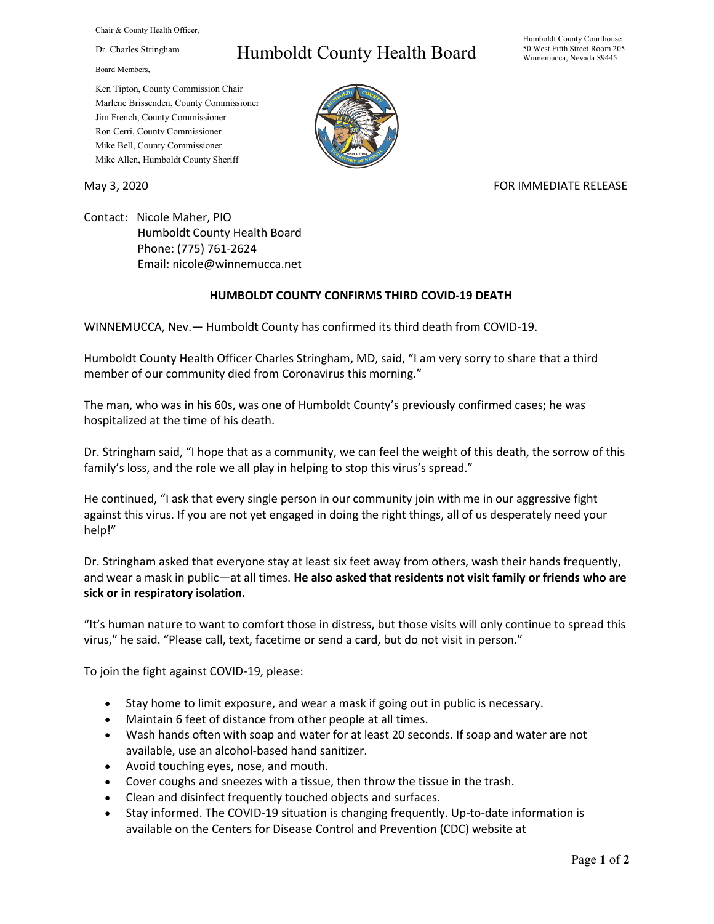Chair & County Health Officer,

Dr. Charles Stringham

Board Members,

## Humboldt County Health Board

Humboldt County Courthouse 50 West Fifth Street Room 205 Winnemucca, Nevada 89445

Ken Tipton, County Commission Chair Marlene Brissenden, County Commissioner Jim French, County Commissioner Ron Cerri, County Commissioner Mike Bell, County Commissioner Mike Allen, Humboldt County Sheriff

May 3, 2020 FOR IMMEDIATE RELEASE

Contact: Nicole Maher, PIO Humboldt County Health Board Phone: (775) 761-2624 Email: nicole@winnemucca.net

## **HUMBOLDT COUNTY CONFIRMS THIRD COVID-19 DEATH**

WINNEMUCCA, Nev.— Humboldt County has confirmed its third death from COVID-19.

Humboldt County Health Officer Charles Stringham, MD, said, "I am very sorry to share that a third member of our community died from Coronavirus this morning."

The man, who was in his 60s, was one of Humboldt County's previously confirmed cases; he was hospitalized at the time of his death.

Dr. Stringham said, "I hope that as a community, we can feel the weight of this death, the sorrow of this family's loss, and the role we all play in helping to stop this virus's spread."

He continued, "I ask that every single person in our community join with me in our aggressive fight against this virus. If you are not yet engaged in doing the right things, all of us desperately need your help!"

Dr. Stringham asked that everyone stay at least six feet away from others, wash their hands frequently, and wear a mask in public—at all times. **He also asked that residents not visit family or friends who are sick or in respiratory isolation.**

"It's human nature to want to comfort those in distress, but those visits will only continue to spread this virus," he said. "Please call, text, facetime or send a card, but do not visit in person."

To join the fight against COVID-19, please:

- Stay home to limit exposure, and wear a mask if going out in public is necessary.
- Maintain 6 feet of distance from other people at all times.
- Wash hands often with soap and water for at least 20 seconds. If soap and water are not available, use an alcohol-based hand sanitizer.
- Avoid touching eyes, nose, and mouth.
- Cover coughs and sneezes with a tissue, then throw the tissue in the trash.
- Clean and disinfect frequently touched objects and surfaces.
- Stay informed. The COVID-19 situation is changing frequently. Up-to-date information is available on the Centers for Disease Control and Prevention (CDC) website at